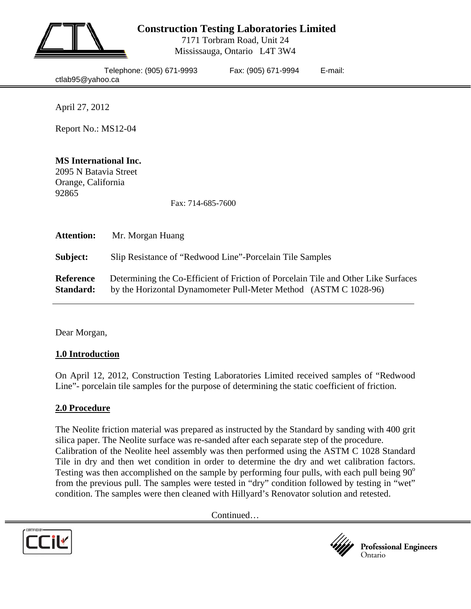

# **Construction Testing Laboratories Limited**

7171 Torbram Road, Unit 24 Mississauga, Ontario L4T 3W4

| Telephone: (905) 671-9993 |  |
|---------------------------|--|
| ctlab95@yahoo.ca          |  |

Fax: (905) 671-9994 E-mail:

April 27, 2012

Report No.: MS12-04

## **MS International Inc.**

2095 N Batavia Street Orange, California 92865

Fax: 714-685-7600

| <b>Attention:</b>             | Mr. Morgan Huang                                                                                                                                       |
|-------------------------------|--------------------------------------------------------------------------------------------------------------------------------------------------------|
| Subject:                      | Slip Resistance of "Redwood Line"-Porcelain Tile Samples                                                                                               |
| <b>Reference</b><br>Standard: | Determining the Co-Efficient of Friction of Porcelain Tile and Other Like Surfaces<br>by the Horizontal Dynamometer Pull-Meter Method (ASTM C 1028-96) |

Dear Morgan,

#### **1.0 Introduction**

On April 12, 2012, Construction Testing Laboratories Limited received samples of "Redwood Line"- porcelain tile samples for the purpose of determining the static coefficient of friction.

#### **2.0 Procedure**

The Neolite friction material was prepared as instructed by the Standard by sanding with 400 grit silica paper. The Neolite surface was re-sanded after each separate step of the procedure. Calibration of the Neolite heel assembly was then performed using the ASTM C 1028 Standard Tile in dry and then wet condition in order to determine the dry and wet calibration factors. Testing was then accomplished on the sample by performing four pulls, with each pull being  $90^{\circ}$ from the previous pull. The samples were tested in "dry" condition followed by testing in "wet" condition. The samples were then cleaned with Hillyard's Renovator solution and retested.

Continued…